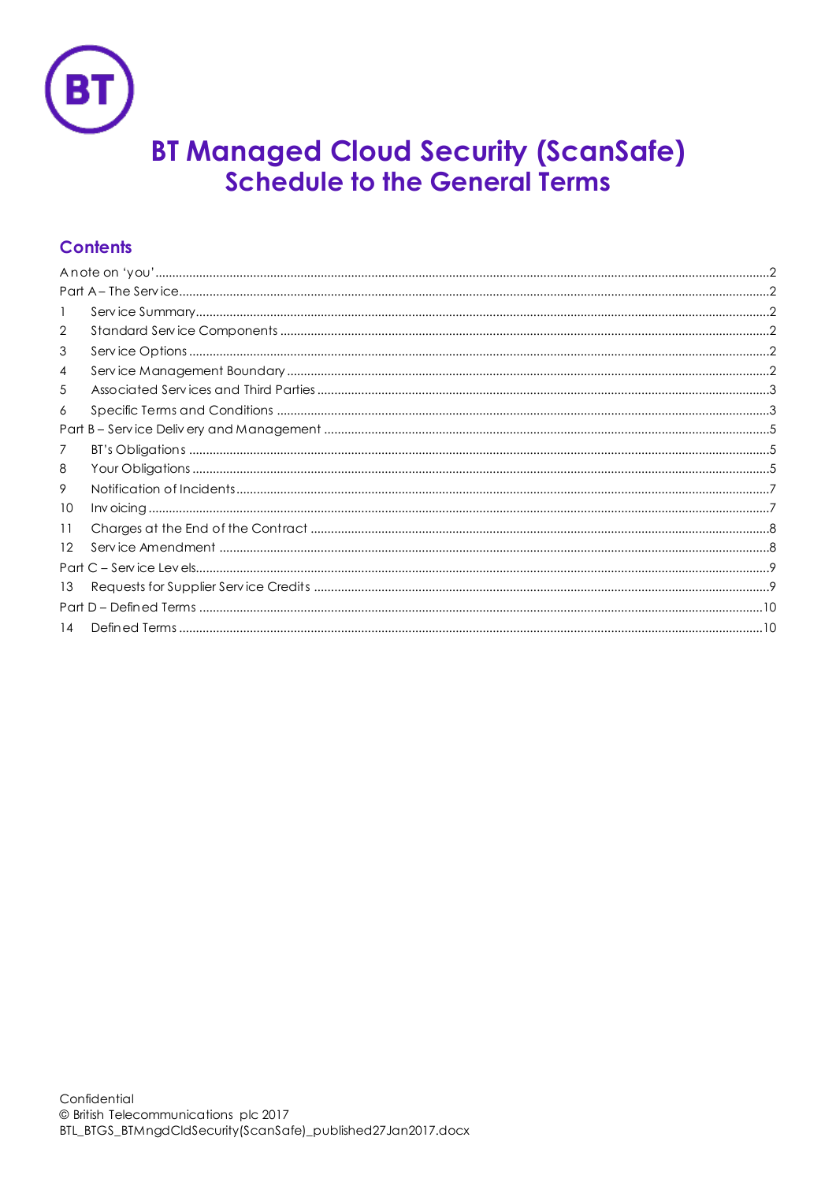

# **BT Managed Cloud Security (ScanSafe) Schedule to the General Terms**

# **Contents**

| -1 |  |  |
|----|--|--|
| 2  |  |  |
| 3  |  |  |
| 4  |  |  |
| 5  |  |  |
| 6  |  |  |
|    |  |  |
| 7  |  |  |
| 8  |  |  |
| 9  |  |  |
| 10 |  |  |
| 11 |  |  |
| 12 |  |  |
|    |  |  |
| 13 |  |  |
|    |  |  |
| 14 |  |  |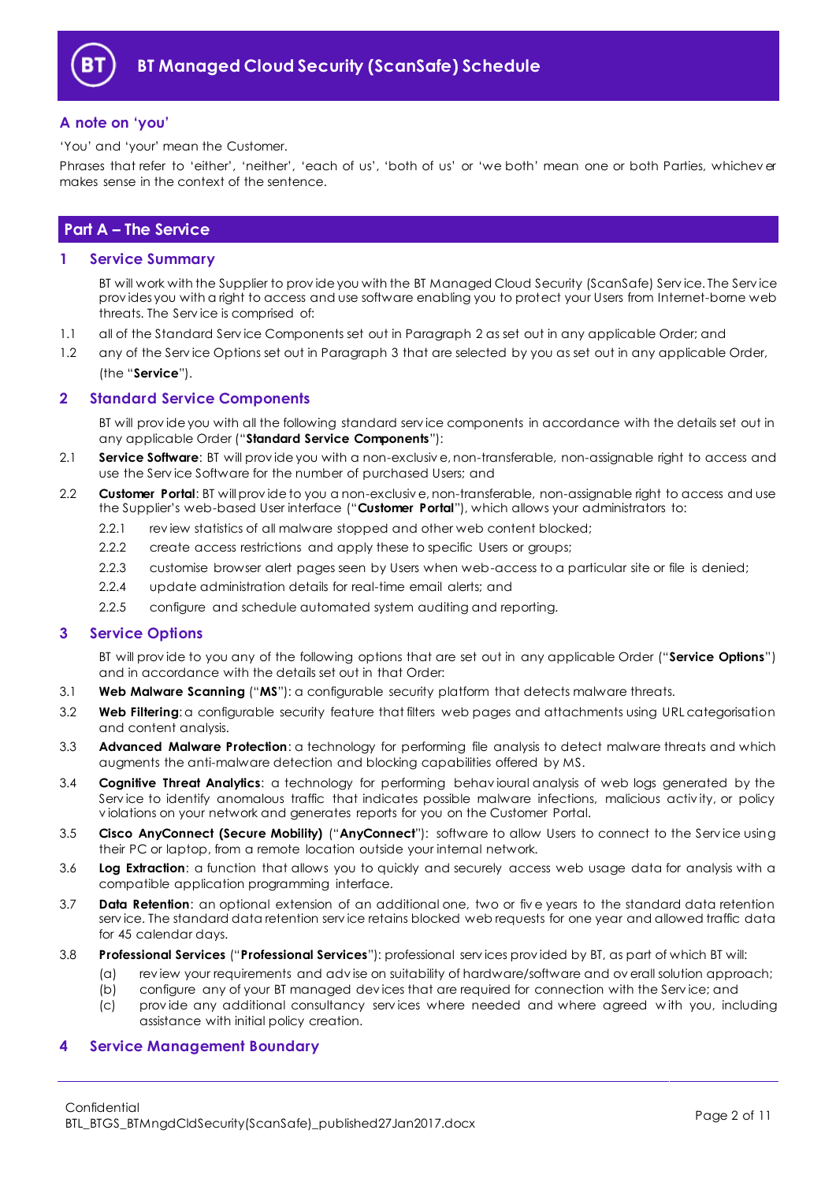

#### <span id="page-1-0"></span>**A note on 'you'**

'You' and 'your' mean the Customer.

Phrases that refer to 'either', 'neither', 'each of us', 'both of us' or 'we both' mean one or both Parties, whichev er makes sense in the context of the sentence.

## <span id="page-1-1"></span>**Part A – The Service**

#### <span id="page-1-2"></span>**1 Service Summary**

BT will work with the Supplier to prov ide you with the BT Managed Cloud Security (ScanSafe) Serv ice. The Serv ice prov ides you with a right to access and use software enabling you to protect your Users from Internet-borne web threats. The Serv ice is comprised of:

- 1.1 all of the Standard Serv ice Components set out in Paragraph [2](#page-1-3) as set out in any applicable Order; and
- 1.2 any of the Serv ice Options set out in Paragraph [3](#page-1-4) that are selected by you as set out in any applicable Order, (the "**Service**").

### <span id="page-1-3"></span>**2 Standard Service Components**

BT will prov ide you with all the following standard serv ice components in accordance with the details set out in any applicable Order ("**Standard Service Components**"):

- 2.1 **Service Software**: BT will prov ide you with a non-exclusiv e, non-transferable, non-assignable right to access and use the Serv ice Software for the number of purchased Users; and
- <span id="page-1-6"></span>2.2 **Customer Portal**: BT will prov ide to you a non-exclusiv e, non-transferable, non-assignable right to access and use the Supplier's web-based User interface ("**Customer Portal**"), which allows your administrators to:
	- 2.2.1 review statistics of all malware stopped and other web content blocked;
	- 2.2.2 create access restrictions and apply these to specific Users or groups;
	- 2.2.3 customise browser alert pages seen by Users when web-access to a particular site or file is denied;
	- 2.2.4 update administration details for real-time email alerts; and
	- 2.2.5 configure and schedule automated system auditing and reporting.

#### <span id="page-1-4"></span>**3 Service Options**

BT will prov ide to you any of the following options that are set out in any applicable Order ("**Service Options**") and in accordance with the details set out in that Order:

- <span id="page-1-7"></span>3.1 **Web Malware Scanning** ("**MS**"): a configurable security platform that detects malware threats.
- 3.2 **Web Filtering**: a configurable security feature that filters web pages and attachments using URL categorisation and content analysis.
- 3.3 **Advanced Malware Protection**: a technology for performing file analysis to detect malware threats and which augments the anti-malware detection and blocking capabilities offered by MS.
- 3.4 **Cognitive Threat Analytics**: a technology for performing behav ioural analysis of web logs generated by the Serv ice to identify anomalous traffic that indicates possible malware infections, malicious activ ity, or policy v iolations on your network and generates reports for you on the Customer Portal.
- 3.5 **Cisco AnyConnect (Secure Mobility)** ("**AnyConnect**"): software to allow Users to connect to the Serv ice using their PC or laptop, from a remote location outside your internal network.
- 3.6 **Log Extraction**: a function that allows you to quickly and securely access web usage data for analysis with a compatible application programming interface.
- 3.7 **Data Retention**: an optional extension of an additional one, two or fiv e years to the standard data retention serv ice. The standard data retention serv ice retains blocked web requests for one year and allowed traffic data for 45 calendar days.
- <span id="page-1-8"></span>3.8 **Professional Services** ("**Professional Services**"): professional serv ices prov ided by BT, as part of which BT will:
	- (a) rev iew your requirements and adv ise on suitability of hardware/software and ov erall solution approach;
		- (b) configure any of your BT managed dev ices that are required for connection with the Serv ice; and
		- (c) prov ide any additional consultancy serv ices where needed and where agreed w ith you, including assistance with initial policy creation.

#### <span id="page-1-5"></span>**4 Service Management Boundary**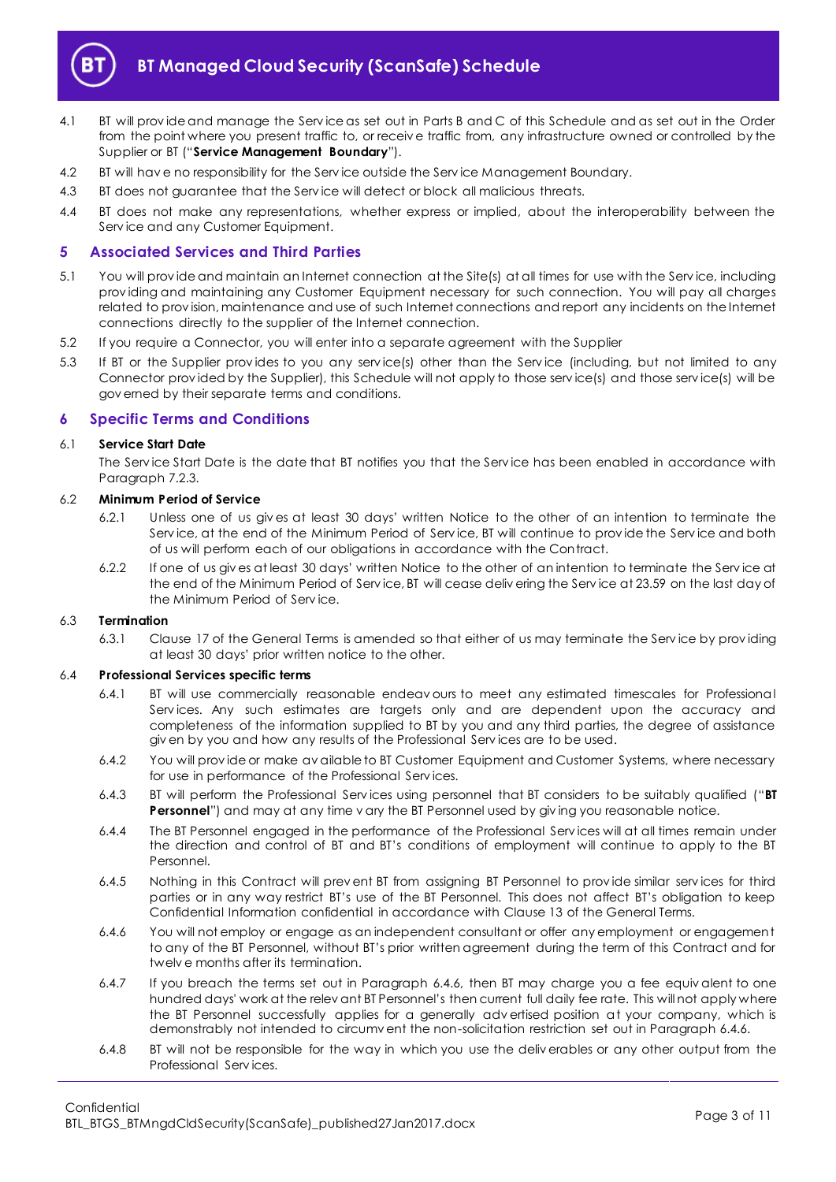

- <span id="page-2-4"></span>4.1 BT will prov ide and manage the Serv ice as set out in Parts B and C of this Schedule and as set out in the Order from the point where you present traffic to, or receiv e traffic from, any infrastructure owned or controlled by the Supplier or BT ("**Service Management Boundary**").
- 4.2 BT will have no responsibility for the Service outside the Service Management Boundary.
- 4.3 BT does not guarantee that the Serv ice will detect or block all malicious threats.
- 4.4 BT does not make any representations, whether express or implied, about the interoperability between the Serv ice and any Customer Equipment.

#### <span id="page-2-0"></span>**5 Associated Services and Third Parties**

- 5.1 You will prov ide and maintain an Internet connection at the Site(s) at all times for use with the Serv ice, including prov iding and maintaining any Customer Equipment necessary for such connection. You will pay all charges related to prov ision, maintenance and use of such Internet connections and report any incidents on the Internet connections directly to the supplier of the Internet connection.
- 5.2 If you require a Connector, you will enter into a separate agreement with the Supplier
- 5.3 If BT or the Supplier prov ides to you any serv ice(s) other than the Serv ice (including, but not limited to any Connector prov ided by the Supplier), this Schedule will not apply to those serv ice(s) and those serv ice(s) will be gov erned by their separate terms and conditions.

#### <span id="page-2-1"></span>**6 Specific Terms and Conditions**

#### 6.1 **Service Start Date**

The Serv ice Start Date is the date that BT notifies you that the Serv ice has been enabled in accordance with Paragraph [7.2.3.](#page-4-3)

#### 6.2 **Minimum Period of Service**

- 6.2.1 Unless one of us giv es at least 30 days' written Notice to the other of an intention to terminate the Serv ice, at the end of the Minimum Period of Serv ice, BT will continue to prov ide the Serv ice and both of us will perform each of our obligations in accordance with the Contract.
- 6.2.2 If one of us giv es at least 30 days' written Notice to the other of an intention to terminate the Serv ice at the end of the Minimum Period of Serv ice, BT will cease deliv ering the Serv ice at 23.59 on the last day of the Minimum Period of Serv ice.

#### 6.3 **Termination**

6.3.1 Clause 17 of the General Terms is amended so that either of us may terminate the Serv ice by prov iding at least 30 days' prior written notice to the other.

#### 6.4 **Professional Services specific terms**

- 6.4.1 BT will use commercially reasonable endeav ours to meet any estimated timescales for Professional Serv ices. Any such estimates are targets only and are dependent upon the accuracy and completeness of the information supplied to BT by you and any third parties, the degree of assistance giv en by you and how any results of the Professional Serv ices are to be used.
- 6.4.2 You will prov ide or make av ailable to BT Customer Equipment and Customer Systems, where necessary for use in performance of the Professional Serv ices.
- <span id="page-2-3"></span>6.4.3 BT will perform the Professional Serv ices using personnel that BT considers to be suitably qualified ("**BT Personnel**") and may at any time v ary the BT Personnel used by giving you reasonable notice.
- 6.4.4 The BT Personnel engaged in the performance of the Professional Serv ices will at all times remain under the direction and control of BT and BT's conditions of employment will continue to apply to the BT Personnel.
- 6.4.5 Nothing in this Contract will prev ent BT from assigning BT Personnel to prov ide similar serv ices for third parties or in any way restrict BT's use of the BT Personnel. This does not affect BT's obligation to keep Confidential Information confidential in accordance with Clause 13 of the General Terms.
- <span id="page-2-2"></span>6.4.6 You will not employ or engage as an independent consultant or offer any employment or engagement to any of the BT Personnel, without BT's prior written agreement during the term of this Contract and for twelv e months after its termination.
- 6.4.7 If you breach the terms set out in Paragraph [6.4.6,](#page-2-2) then BT may charge you a fee equiv alent to one hundred days' work at the relev ant BT Personnel's then current full daily fee rate. This will not apply where the BT Personnel successfully applies for a generally adv ertised position at your company, which is demonstrably not intended to circumv ent the non-solicitation restriction set out in Paragraph [6.4.6.](#page-2-2)
- 6.4.8 BT will not be responsible for the way in which you use the deliv erables or any other output from the Professional Serv ices.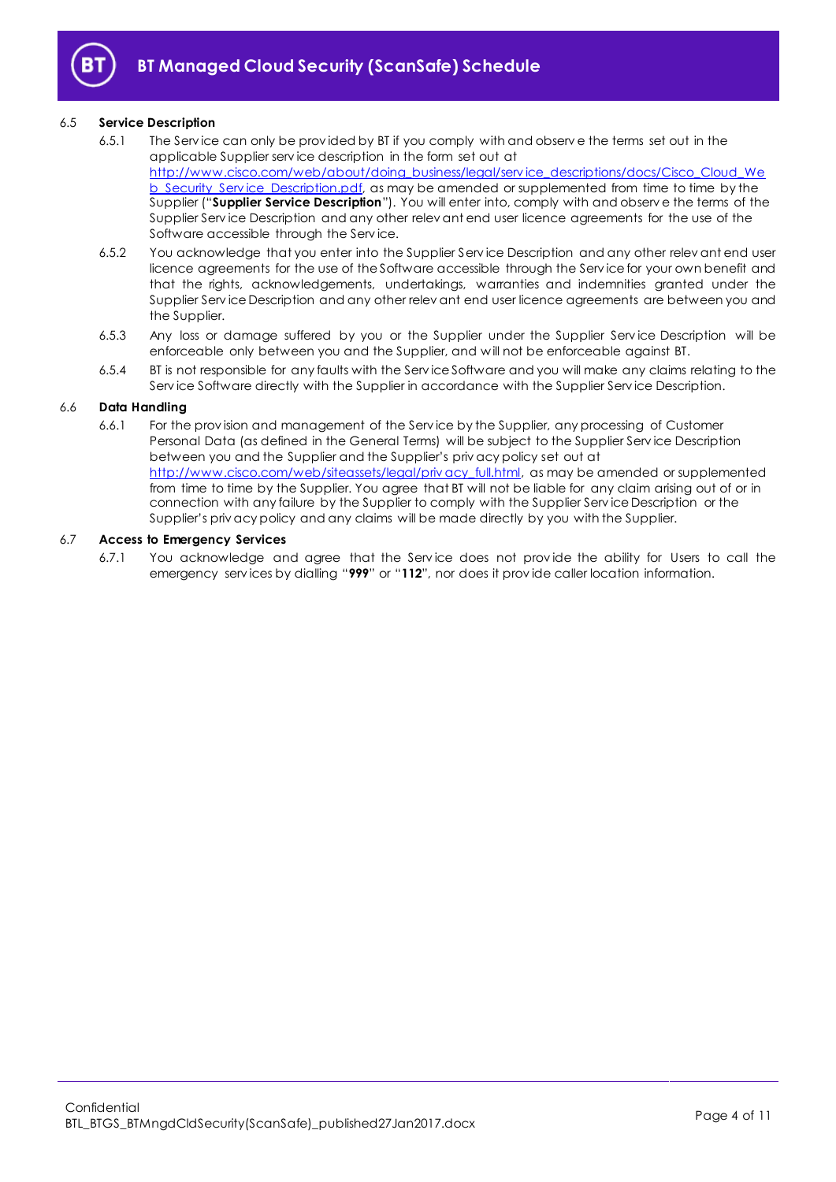

#### <span id="page-3-0"></span>6.5 **Service Description**

- 6.5.1 The Serv ice can only be prov ided by BT if you comply with and observ e the terms set out in the applicable Supplier serv ice description in the form set out at [http://www.cisco.com/web/about/doing\\_business/legal/serv ice\\_descriptions/docs/Cisco\\_Cloud\\_We](http://www.cisco.com/web/about/doing_business/legal/service_descriptions/docs/Cisco_Cloud_Web_Security_Service_Description.pdf) b\_Security\_Service\_Description.pdf, as may be amended or supplemented from time to time by the Supplier ("**Supplier Service Description**"). You will enter into, comply with and observ e the terms of the Supplier Serv ice Description and any other relev ant end user licence agreements for the use of the Software accessible through the Serv ice.
- 6.5.2 You acknowledge that you enter into the Supplier Serv ice Description and any other relev ant end user licence agreements for the use of the Software accessible through the Serv ice for your own benefit and that the rights, acknowledgements, undertakings, warranties and indemnities granted under the Supplier Serv ice Description and any other relev ant end user licence agreements are between you and the Supplier.
- 6.5.3 Any loss or damage suffered by you or the Supplier under the Supplier Serv ice Description will be enforceable only between you and the Supplier, and w ill not be enforceable against BT.
- 6.5.4 BT is not responsible for any faults with the Serv ice Software and you will make any claims relating to the Serv ice Software directly with the Supplier in accordance with the Supplier Serv ice Description.

#### 6.6 **Data Handling**

6.6.1 For the prov ision and management of the Serv ice by the Supplier, any processing of Customer Personal Data (as defined in the General Terms) will be subject to the Supplier Serv ice Description between you and the Supplier and the Supplier's priv acy policy set out at [http://www.cisco.com/web/siteassets/legal/priv acy\\_full.html,](http://www.cisco.com/web/siteassets/legal/privacy_full.html) as may be amended or supplemented from time to time by the Supplier. You agree that BT will not be liable for any claim arising out of or in connection with any failure by the Supplier to comply with the Supplier Serv ice Description or the Supplier's priv acy policy and any claims will be made directly by you with the Supplier.

#### 6.7 **Access to Emergency Services**

6.7.1 You acknowledge and agree that the Serv ice does not prov ide the ability for Users to call the emergency serv ices by dialling "**999**" or "**112**", nor does it prov ide caller location information.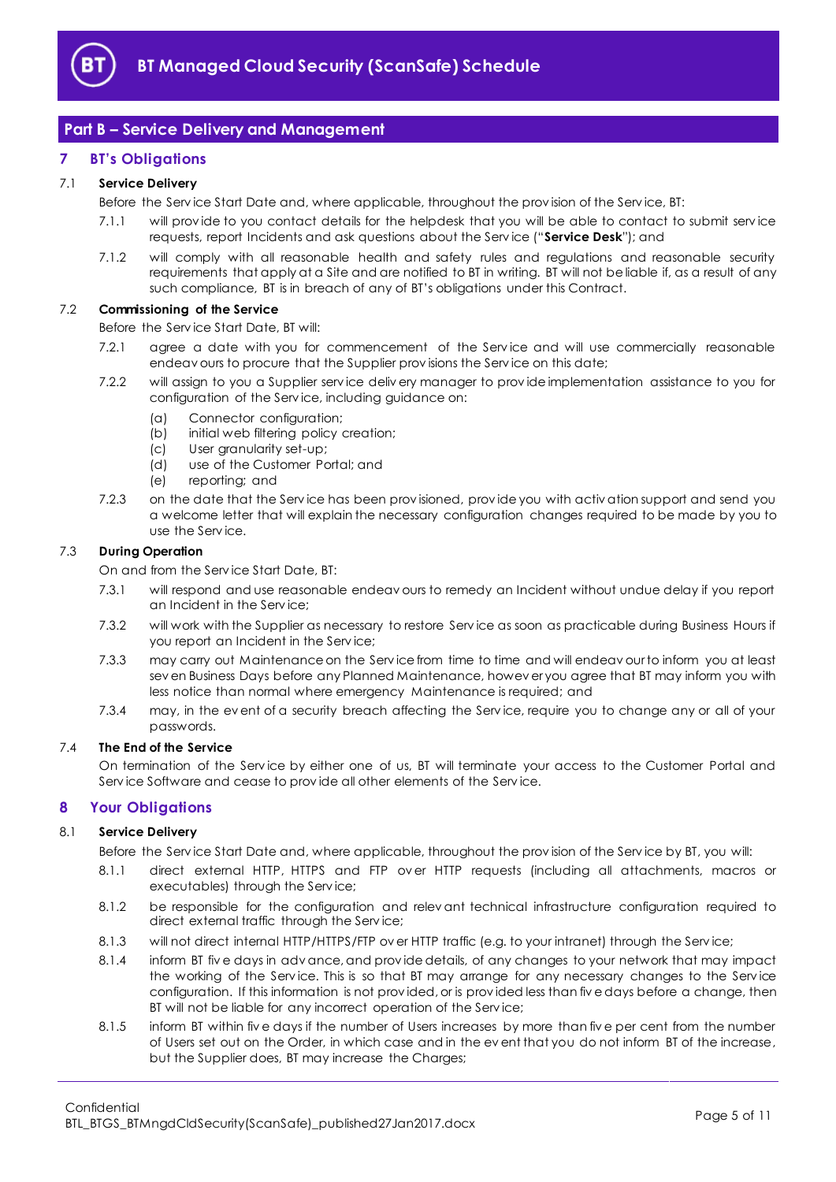

## <span id="page-4-0"></span>**Part B – Service Delivery and Management**

#### <span id="page-4-1"></span>**7 BT's Obligations**

#### <span id="page-4-6"></span>7.1 **Service Delivery**

Before the Serv ice Start Date and, where applicable, throughout the prov ision of the Serv ice, BT:

- 7.1.1 will prov ide to you contact details for the helpdesk that you will be able to contact to submit serv ice requests, report Incidents and ask questions about the Serv ice ("**Service Desk**"); and
- 7.1.2 will comply with all reasonable health and safety rules and regulations and reasonable security requirements that apply at a Site and are notified to BT in writing. BT will not be liable if, as a result of any such compliance, BT is in breach of any of BT's obligations under this Contract.

#### <span id="page-4-4"></span>7.2 **Commissioning of the Service**

Before the Serv ice Start Date, BT will:

- 7.2.1 agree a date with you for commencement of the Serv ice and will use commercially reasonable endeav ours to procure that the Supplier prov isions the Serv ice on this date;
- 7.2.2 will assign to you a Supplier serv ice deliv ery manager to prov ide implementation assistance to you for configuration of the Serv ice, including guidance on:
	- (a) Connector configuration;
	- (b) initial web filtering policy creation;
	- (c) User granularity set-up;
	- (d) use of the Customer Portal; and
	- (e) reporting; and
- <span id="page-4-3"></span>7.2.3 on the date that the Serv ice has been prov isioned, prov ide you with activ ation support and send you a welcome letter that will explain the necessary configuration changes required to be made by you to use the Serv ice.

#### 7.3 **During Operation**

On and from the Serv ice Start Date, BT:

- 7.3.1 will respond and use reasonable endeav ours to remedy an Incident without undue delay if you report an Incident in the Serv ice;
- 7.3.2 will work with the Supplier as necessary to restore Serv ice as soon as practicable during Business Hours if you report an Incident in the Serv ice;
- 7.3.3 may carry out Maintenance on the Service from time to time and will endeav our to inform you at least sev en Business Days before any Planned Maintenance, howev er you agree that BT may inform you with less notice than normal where emergency Maintenance is required; and
- 7.3.4 may, in the ev ent of a security breach affecting the Serv ice, require you to change any or all of your passwords.

#### 7.4 **The End of the Service**

On termination of the Serv ice by either one of us, BT will terminate your access to the Customer Portal and Serv ice Software and cease to prov ide all other elements of the Serv ice.

#### <span id="page-4-2"></span>**8 Your Obligations**

#### <span id="page-4-5"></span>8.1 **Service Delivery**

Before the Serv ice Start Date and, where applicable, throughout the prov ision of the Serv ice by BT, you will:

- 8.1.1 direct external HTTP, HTTPS and FTP over HTTP requests (including all attachments, macros or executables) through the Serv ice;
- 8.1.2 be responsible for the configuration and relev ant technical infrastructure configuration required to direct external traffic through the Serv ice;
- 8.1.3 will not direct internal HTTP/HTTPS/FTP ov er HTTP traffic (e.g. to your intranet) through the Serv ice;
- 8.1.4 inform BT fiv e days in adv ance, and prov ide details, of any changes to your network that may impact the working of the Serv ice. This is so that BT may arrange for any necessary changes to the Serv ice configuration. If this information is not prov ided, or is prov ided less than fiv e days before a change, then BT will not be liable for any incorrect operation of the Serv ice;
- 8.1.5 inform BT within fiv e days if the number of Users increases by more than fiv e per cent from the number of Users set out on the Order, in which case and in the ev ent that you do not inform BT of the increase, but the Supplier does, BT may increase the Charges;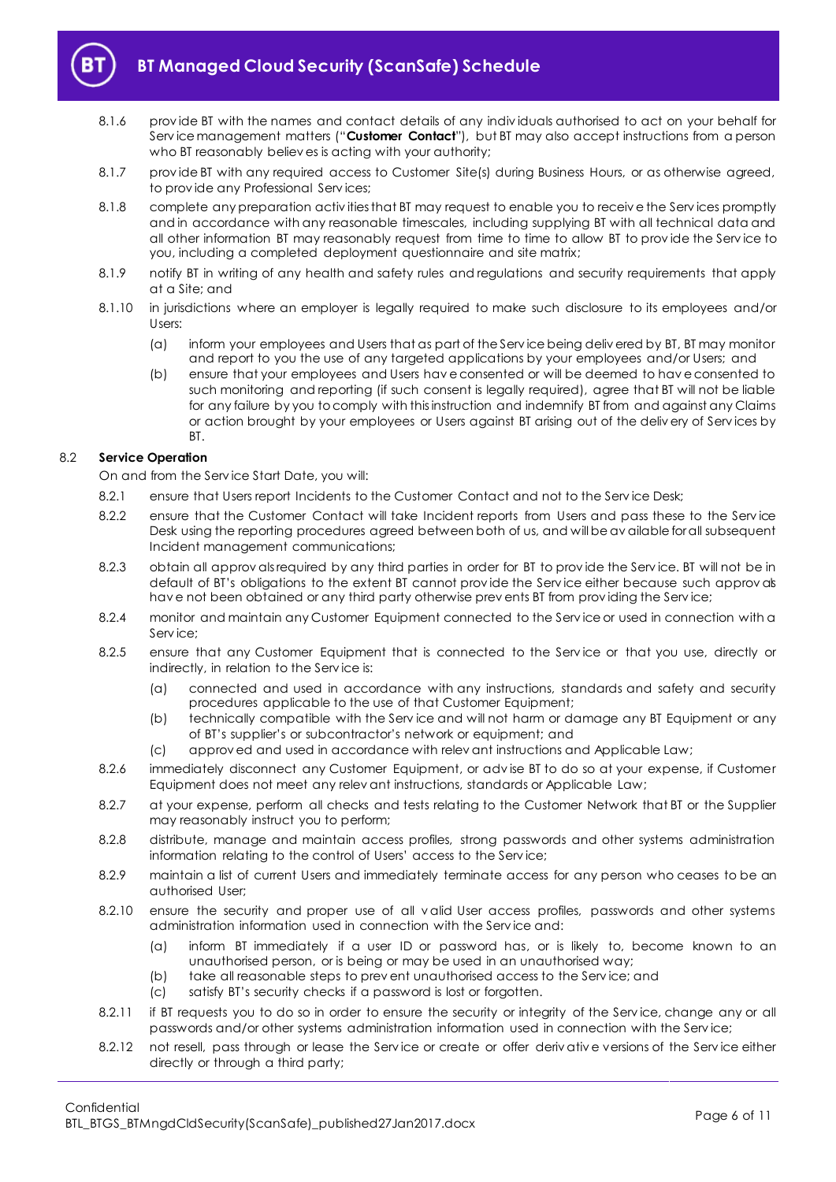

# **BT Managed Cloud Security (ScanSafe) Schedule**

- 8.1.6 prov ide BT with the names and contact details of any indiv iduals authorised to act on your behalf for Serv ice management matters ("**Customer Contact**"), but BT may also accept instructions from a person who BT reasonably believ es is acting with your authority;
- 8.1.7 prov ide BT with any required access to Customer Site(s) during Business Hours, or as otherwise agreed, to prov ide any Professional Serv ices;
- 8.1.8 complete any preparation activities that BT may request to enable you to receive the Services promptly and in accordance with any reasonable timescales, including supplying BT with all technical data and all other information BT may reasonably request from time to time to allow BT to prov ide the Serv ice to you, including a completed deployment questionnaire and site matrix;
- 8.1.9 notify BT in writing of any health and safety rules and regulations and security requirements that apply at a Site; and
- 8.1.10 in jurisdictions where an employer is legally required to make such disclosure to its employees and/or Users:
	- (a) inform your employees and Users that as part of the Serv ice being deliv ered by BT, BT may monitor and report to you the use of any targeted applications by your employees and/or Users; and
	- (b) ensure that your employees and Users hav e consented or will be deemed to hav e consented to such monitoring and reporting (if such consent is legally required), agree that BT will not be liable for any failure by you to comply with this instruction and indemnify BT from and against any Claims or action brought by your employees or Users against BT arising out of the deliv ery of Serv ices by BT.

#### 8.2 **Service Operation**

On and from the Serv ice Start Date, you will:

- 8.2.1 ensure that Users report Incidents to the Customer Contact and not to the Serv ice Desk;
- 8.2.2 ensure that the Customer Contact will take Incident reports from Users and pass these to the Service Desk using the reporting procedures agreed between both of us, and will be av ailable for all subsequent Incident management communications;
- 8.2.3 obtain all approv als required by any third parties in order for BT to provide the Service. BT will not be in default of BT's obligations to the extent BT cannot prov ide the Serv ice either because such approv als hav e not been obtained or any third party otherwise prev ents BT from prov iding the Serv ice;
- 8.2.4 monitor and maintain any Customer Equipment connected to the Serv ice or used in connection with a Serv ice;
- 8.2.5 ensure that any Customer Equipment that is connected to the Serv ice or that you use, directly or indirectly, in relation to the Serv ice is:
	- (a) connected and used in accordance with any instructions, standards and safety and security procedures applicable to the use of that Customer Equipment;
	- (b) technically compatible with the Serv ice and will not harm or damage any BT Equipment or any of BT's supplier's or subcontractor's network or equipment; and
	- (c) approv ed and used in accordance with relev ant instructions and Applicable Law;
- 8.2.6 immediately disconnect any Customer Equipment, or adv ise BT to do so at your expense, if Customer Equipment does not meet any relev ant instructions, standards or Applicable Law;
- 8.2.7 at your expense, perform all checks and tests relating to the Customer Network that BT or the Supplier may reasonably instruct you to perform;
- 8.2.8 distribute, manage and maintain access profiles, strong passwords and other systems administration information relating to the control of Users' access to the Serv ice;
- 8.2.9 maintain a list of current Users and immediately terminate access for any person who ceases to be an authorised User;
- 8.2.10 ensure the security and proper use of all v alid User access profiles, passwords and other systems administration information used in connection with the Serv ice and:
	- (a) inform BT immediately if a user ID or password has, or is likely to, become known to an unauthorised person, or is being or may be used in an unauthorised way;
	- (b) take all reasonable steps to prev ent unauthorised access to the Serv ice; and
	- (c) satisfy BT's security checks if a password is lost or forgotten.
- 8.2.11 if BT requests you to do so in order to ensure the security or integrity of the Service, change any or all passwords and/or other systems administration information used in connection with the Serv ice;
- 8.2.12 not resell, pass through or lease the Serv ice or create or offer deriv ativ e versions of the Serv ice either directly or through a third party;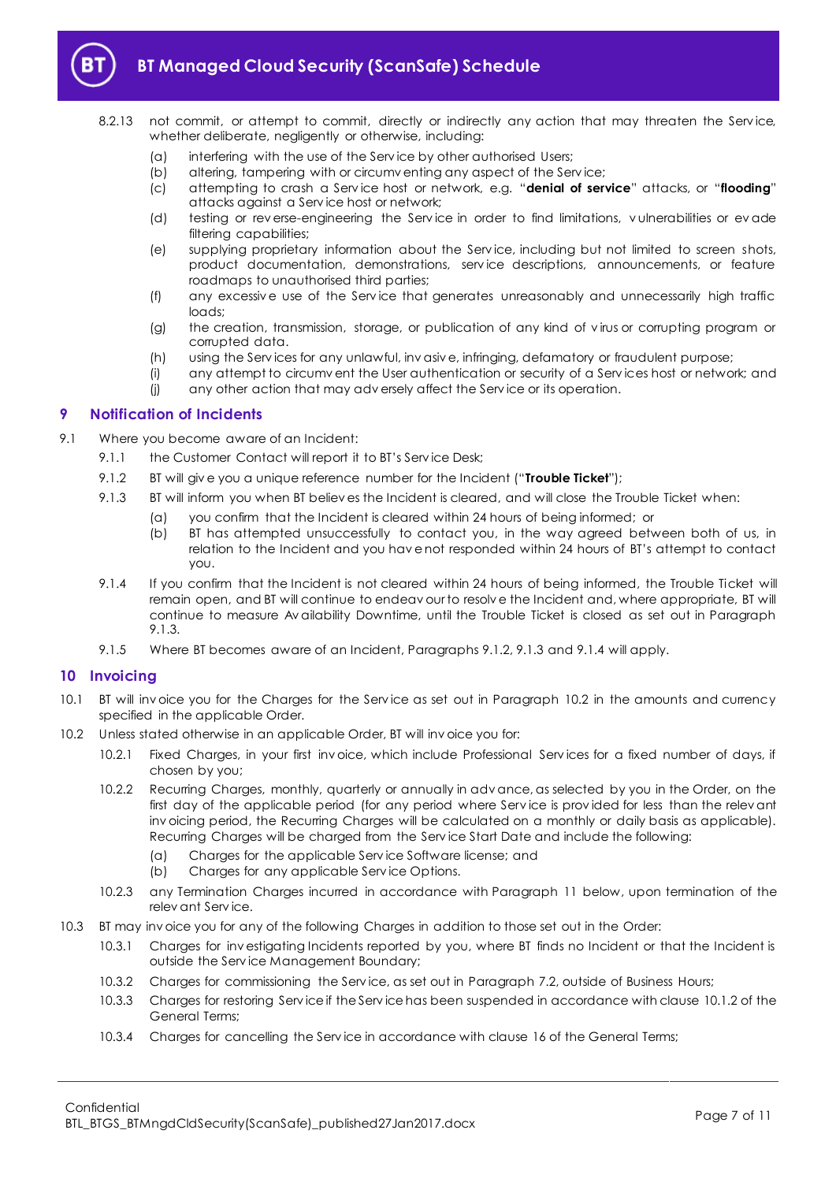

# **BT Managed Cloud Security (ScanSafe) Schedule**

- 8.2.13 not commit, or attempt to commit, directly or indirectly any action that may threaten the Service, whether deliberate, negligently or otherwise, including:
	- (a) interfering with the use of the Serv ice by other authorised Users;
	- (b) altering, tampering with or circumv enting any aspect of the Serv ice;
	- (c) attempting to crash a Serv ice host or network, e.g. "**denial of service**" attacks, or "**flooding**" attacks against a Serv ice host or network;
	- (d) testing or rev erse-engineering the Serv ice in order to find limitations, v ulnerabilities or ev ade filtering capabilities;
	- (e) supplying proprietary information about the Serv ice, including but not limited to screen shots, product documentation, demonstrations, serv ice descriptions, announcements, or feature roadmaps to unauthorised third parties;
	- (f) any excessiv e use of the Serv ice that generates unreasonably and unnecessarily high traffic loads;
	- (g) the creation, transmission, storage, or publication of any kind of v irus or corrupting program or corrupted data.
	- (h) using the Serv ices for any unlawful, inv asiv e, infringing, defamatory or fraudulent purpose;
	- (i) any attempt to circumv ent the User authentication or security of a Serv ices host or network; and
	- (j) any other action that may adv ersely affect the Serv ice or its operation.

#### <span id="page-6-0"></span>**9 Notification of Incidents**

- <span id="page-6-3"></span><span id="page-6-2"></span>9.1 Where you become aware of an Incident:
	- 9.1.1 the Customer Contact will report it to BT's Service Desk:
		- 9.1.2 BT will giv e you a unique reference number for the Incident ("**Trouble Ticket**");
		- 9.1.3 BT will inform you when BT believ es the Incident is cleared, and will close the Trouble Ticket when:
			- (a) you confirm that the Incident is cleared within 24 hours of being informed; or
			- (b) BT has attempted unsuccessfully to contact you, in the way agreed between both of us, in relation to the Incident and you hav e not responded within 24 hours of BT's attempt to contact you.
	- 9.1.4 If you confirm that the Incident is not cleared within 24 hours of being informed, the Trouble Ticket will remain open, and BT will continue to endeav our to resolv e the Incident and, where appropriate, BT will continue to measure Av ailability Downtime, until the Trouble Ticket is closed as set out in Paragraph [9.1.3.](#page-6-2)
	- 9.1.5 Where BT becomes aware of an Incident, Paragraph[s 9.1.2,](#page-6-3) [9.1.3](#page-6-2) an[d 9.1.4](#page-6-4) will apply.

#### <span id="page-6-4"></span><span id="page-6-1"></span>**10 Invoicing**

- 10.1 BT will inv oice you for the Charges for the Serv ice as set out in Paragraph [10.2](#page-6-5) in the amounts and currency specified in the applicable Order.
- <span id="page-6-5"></span>10.2 Unless stated otherwise in an applicable Order, BT will inv oice you for:
	- 10.2.1 Fixed Charges, in your first inv oice, which include Professional Serv ices for a fixed number of days, if chosen by you;
	- 10.2.2 Recurring Charges, monthly, quarterly or annually in adv ance, as selected by you in the Order, on the first day of the applicable period (for any period where Serv ice is prov ided for less than the relev ant inv oicing period, the Recurring Charges will be calculated on a monthly or daily basis as applicable). Recurring Charges will be charged from the Serv ice Start Date and include the following:
		- (a) Charges for the applicable Serv ice Software license; and
		- (b) Charges for any applicable Serv ice Options.
	- 10.2.3 any Termination Charges incurred in accordance with Paragraph [11](#page-7-0) below, upon termination of the relev ant Serv ice.
- 10.3 BT may inv oice you for any of the following Charges in addition to those set out in the Order:
	- 10.3.1 Charges for inv estigating Incidents reported by you, where BT finds no Incident or that the Incident is outside the Serv ice Management Boundary;
	- 10.3.2 Charges for commissioning the Serv ice, as set out in Paragrap[h 7.2,](#page-4-4) outside of Business Hours;
	- 10.3.3 Charges for restoring Serv ice if the Serv ice has been suspended in accordance with clause 10.1.2 of the General Terms;
	- 10.3.4 Charges for cancelling the Serv ice in accordance with clause 16 of the General Terms;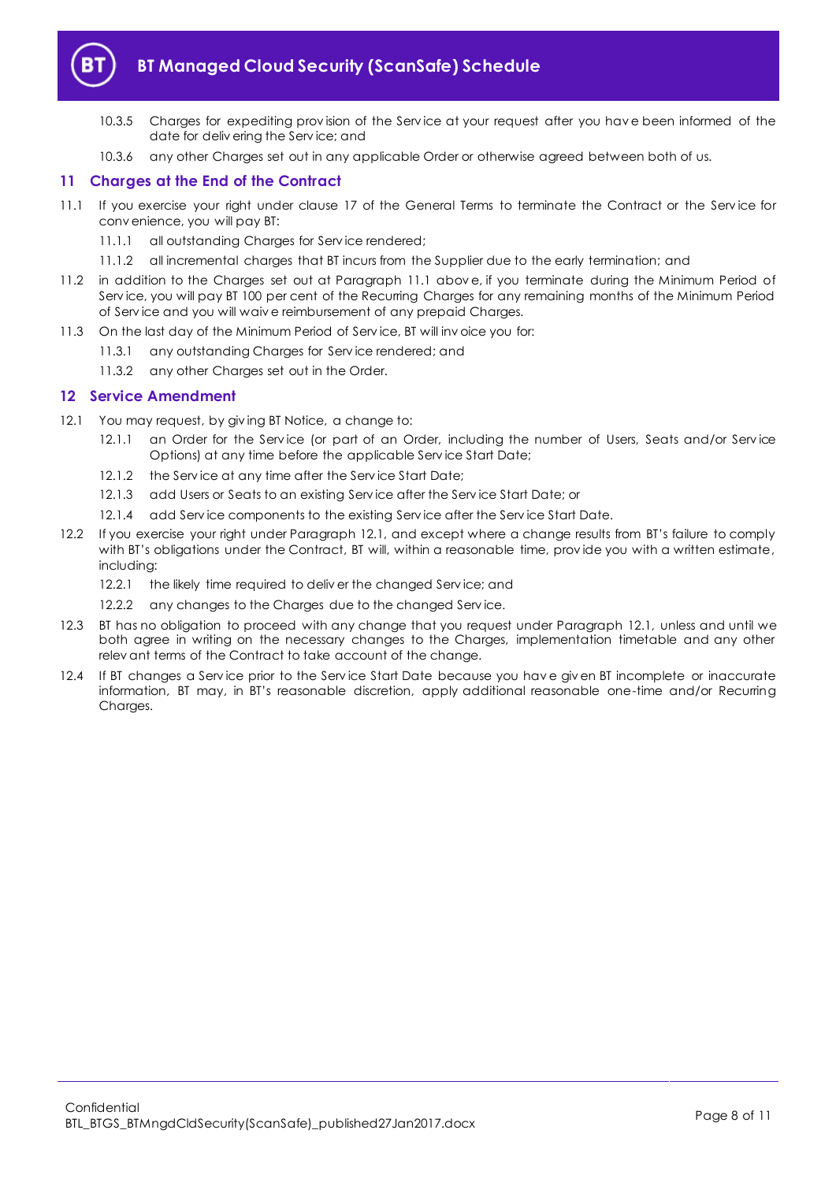

# **BT Managed Cloud Security (ScanSafe) Schedule**

- 10.3.5 Charges for expediting prov ision of the Serv ice at your request after you hav e been informed of the date for deliv ering the Serv ice; and
- 10.3.6 any other Charges set out in any applicable Order or otherwise agreed between both of us.

## <span id="page-7-0"></span>**11 Charges at the End of the Contract**

- <span id="page-7-2"></span>11.1 If you exercise your right under clause 17 of the General Terms to terminate the Contract or the Serv ice for conv enience, you will pay BT:
	- 11.1.1 all outstanding Charges for Service rendered;
	- 11.1.2 all incremental charges that BT incurs from the Supplier due to the early termination; and
- 11.2 in addition to the Charges set out at Paragraph [11.1](#page-7-2) abov e, if you terminate during the Minimum Period of Service, you will pay BT 100 per cent of the Recurring Charges for any remaining months of the Minimum Period of Serv ice and you will waiv e reimbursement of any prepaid Charges.
- 11.3 On the last day of the Minimum Period of Service, BT will invoice you for:
	- 11.3.1 any outstanding Charges for Serv ice rendered; and
	- 11.3.2 any other Charges set out in the Order.

#### <span id="page-7-1"></span>**12 Service Amendment**

- <span id="page-7-3"></span>12.1 You may request, by giv ing BT Notice, a change to:
	- 12.1.1 an Order for the Service (or part of an Order, including the number of Users, Seats and/or Service Options) at any time before the applicable Serv ice Start Date;
	- 12.1.2 the Service at any time after the Service Start Date;
	- 12.1.3 add Users or Seats to an existing Serv ice after the Serv ice Start Date; or
	- 12.1.4 add Serv ice components to the existing Serv ice after the Serv ice Start Date.
- 12.2 If you exercise your right under Paragraph [12.1](#page-7-3), and except where a change results from BT's failure to comply with BT's obligations under the Contract, BT will, within a reasonable time, provide you with a written estimate, including:
	- 12.2.1 the likely time required to deliver the changed Service; and
	- 12.2.2 any changes to the Charges due to the changed Service.
- 12.3 BT has no obligation to proceed with any change that you request under Paragraph [12.1,](#page-7-3) unless and until we both agree in writing on the necessary changes to the Charges, implementation timetable and any other relev ant terms of the Contract to take account of the change.
- 12.4 If BT changes a Serv ice prior to the Serv ice Start Date because you hav e giv en BT incomplete or inaccurate information, BT may, in BT's reasonable discretion, apply additional reasonable one-time and/or Recurring Charges.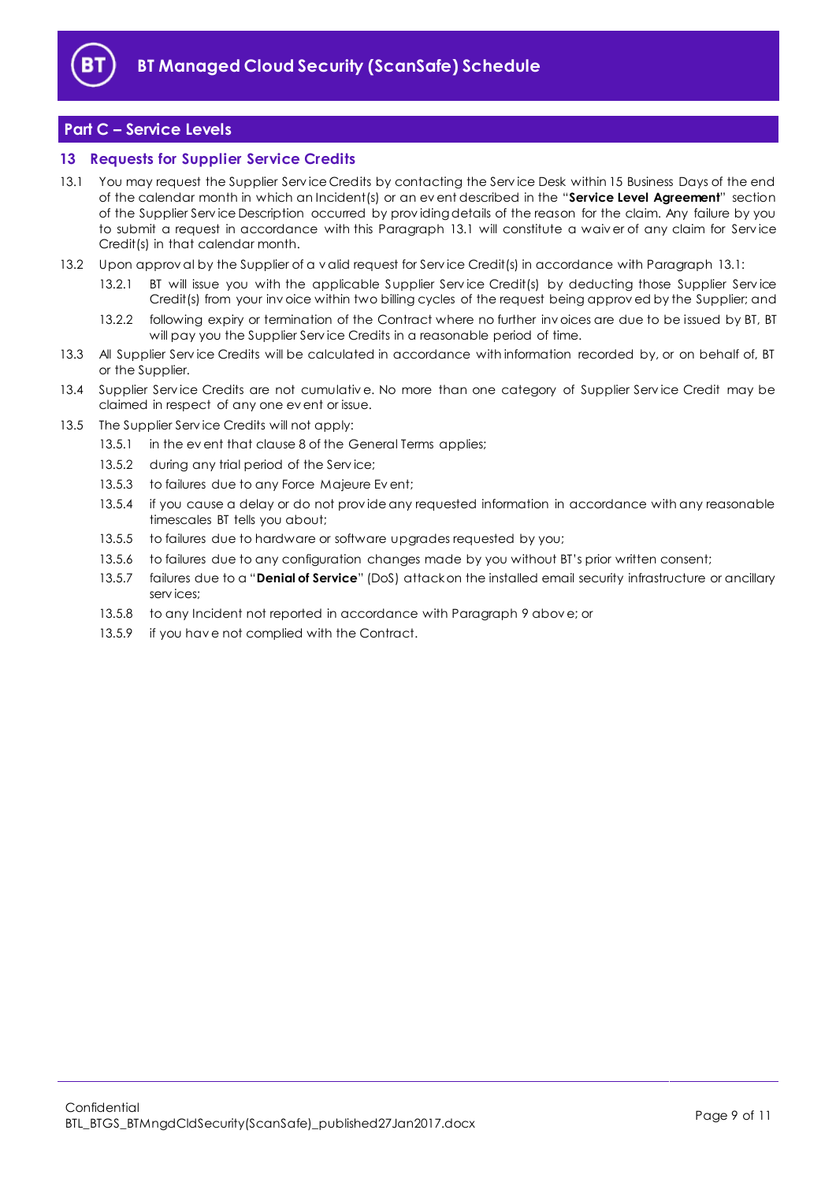

# <span id="page-8-0"></span>**Part C – Service Levels**

#### <span id="page-8-1"></span>**13 Requests for Supplier Service Credits**

- <span id="page-8-2"></span>13.1 You may request the Supplier Serv ice Credits by contacting the Serv ice Desk within 15 Business Days of the end of the calendar month in which an Incident(s) or an ev ent described in the "**Service Level Agreement**" section of the Supplier Serv ice Description occurred by prov iding details of the reason for the claim. Any failure by you to submit a request in accordance with this Paragraph [13.1](#page-8-2) will constitute a waiv er of any claim for Serv ice Credit(s) in that calendar month.
- 13.2 Upon approv al by the Supplier of a v alid request for Serv ice Credit(s) in accordance with Paragraph [13.1:](#page-8-2)
	- 13.2.1 BT will issue you with the applicable Supplier Serv ice Credit(s) by deducting those Supplier Serv ice Credit(s) from your inv oice within two billing cycles of the request being approv ed by the Supplier; and
	- 13.2.2 following expiry or termination of the Contract where no further inv oices are due to be issued by BT, BT will pay you the Supplier Serv ice Credits in a reasonable period of time.
- 13.3 All Supplier Serv ice Credits will be calculated in accordance with information recorded by, or on behalf of, BT or the Supplier.
- 13.4 Supplier Service Credits are not cumulative. No more than one category of Supplier Service Credit may be claimed in respect of any one ev ent or issue.
- 13.5 The Supplier Serv ice Credits will not apply:
	- 13.5.1 in the ev ent that clause 8 of the General Terms applies;
	- 13.5.2 during any trial period of the Service;
	- 13.5.3 to failures due to any Force Majeure Ev ent;
	- 13.5.4 if you cause a delay or do not provide any requested information in accordance with any reasonable timescales BT tells you about;
	- 13.5.5 to failures due to hardware or software upgrades requested by you;
	- 13.5.6 to failures due to any configuration changes made by you without BT's prior written consent;
	- 13.5.7 failures due to a "**Denial of Service**" (DoS) attack on the installed email security infrastructure or ancillary serv ices;
	- 13.5.8 to any Incident not reported in accordance with Paragrap[h 9](#page-6-0) abov e; or
	- 13.5.9 if you hav e not complied with the Contract.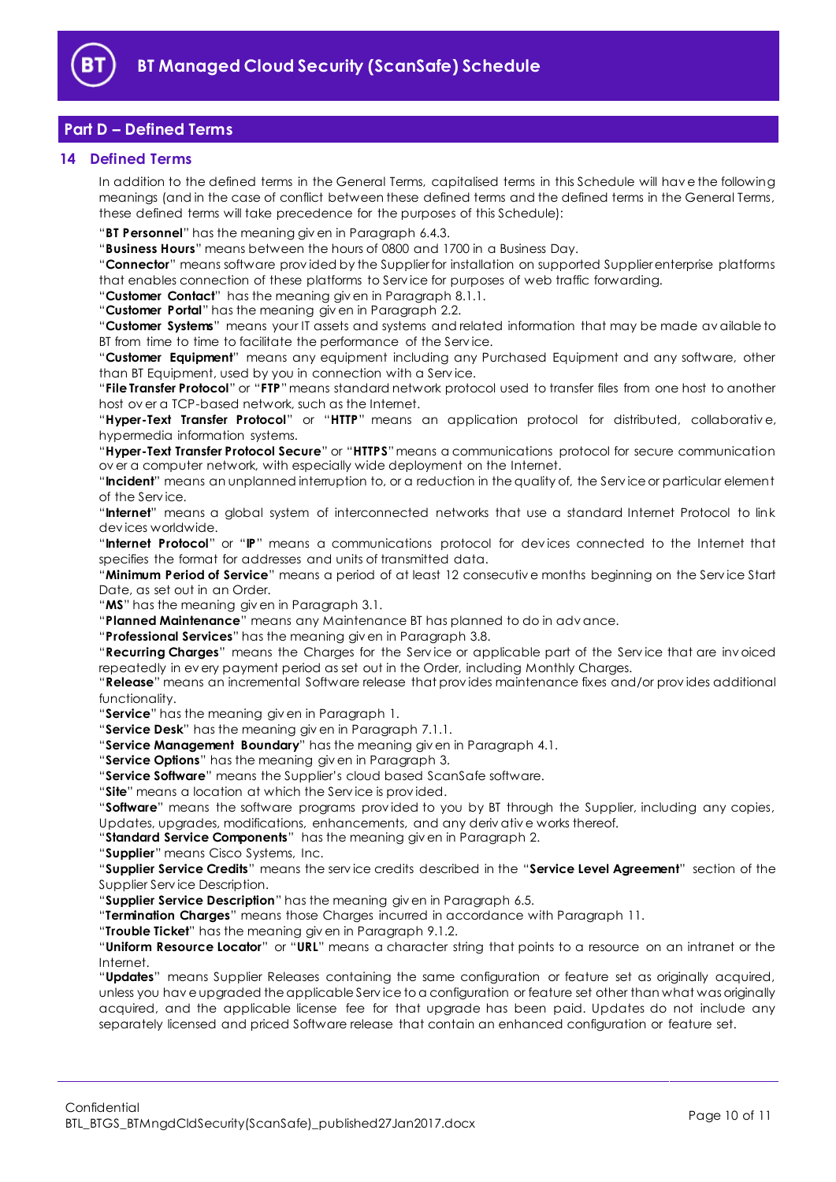

# <span id="page-9-0"></span>**Part D – Defined Terms**

#### <span id="page-9-1"></span>**14 Defined Terms**

In addition to the defined terms in the General Terms, capitalised terms in this Schedule will hav e the following meanings (and in the case of conflict between these defined terms and the defined terms in the General Terms, these defined terms will take precedence for the purposes of this Schedule):

"**BT Personnel**" has the meaning giv en in Paragraph [6.4.3.](#page-2-3)

"**Business Hours**" means between the hours of 0800 and 1700 in a Business Day.

"**Connector**" means software prov ided by the Supplier for installation on supported Supplier enterprise platforms that enables connection of these platforms to Serv ice for purposes of web traffic forwarding.

"**Customer Contact**" has the meaning giv en in Paragraph [8.1.1.](#page-4-5)

"**Customer Portal**" has the meaning giv en in Paragraph [2.2.](#page-1-6)

"**Customer Systems**" means your IT assets and systems and related information that may be made av ailable to BT from time to time to facilitate the performance of the Serv ice.

"**Customer Equipment**" means any equipment including any Purchased Equipment and any software, other than BT Equipment, used by you in connection with a Serv ice.

"**File Transfer Protocol**" or "**FTP**"means standard network protocol used to transfer files from one host to another host ov er a TCP-based network, such as the Internet.

"**Hyper-Text Transfer Protocol**" or "**HTTP**" means an application protocol for distributed, collaborativ e, hypermedia information systems.

"**Hyper-Text Transfer Protocol Secure**" or "**HTTPS**"means a communications protocol for secure communication ov er a computer network, with especially wide deployment on the Internet.

"**Incident**" means an unplanned interruption to, or a reduction in the quality of, the Serv ice or particular element of the Serv ice.

"**Internet**" means a global system of interconnected networks that use a standard Internet Protocol to link dev ices worldwide.

"**Internet Protocol**" or "**IP**" means a communications protocol for dev ices connected to the Internet that specifies the format for addresses and units of transmitted data.

"**Minimum Period of Service**" means a period of at least 12 consecutiv e months beginning on the Serv ice Start Date, as set out in an Order.

"**MS**" has the meaning giv en in Paragraph [3.1.](#page-1-7)

"**Planned Maintenance**" means any Maintenance BT has planned to do in adv ance.

"**Professional Services**" has the meaning giv en in Paragraph [3.8.](#page-1-8)

"**Recurring Charges**" means the Charges for the Serv ice or applicable part of the Serv ice that are inv oiced repeatedly in ev ery payment period as set out in the Order, including Monthly Charges.

"**Release**" means an incremental Software release that prov ides maintenance fixes and/or prov ides additional functionality.

"**Service**" has the meaning giv en in Paragrap[h 1.](#page-1-2)

"**Service Desk**" has the meaning giv en in Paragraph [7.1.1.](#page-4-6)

"**Service Management Boundary**" has the meaning giv en in Paragraph [4.1.](#page-2-4)

"**Service Options**" has the meaning giv en in Paragrap[h 3.](#page-1-4)

"**Service Software**" means the Supplier's cloud based ScanSafe software.

"**Site**" means a location at which the Serv ice is prov ided.

"**Software**" means the software programs prov ided to you by BT through the Supplier, including any copies, Updates, upgrades, modifications, enhancements, and any deriv ativ e works thereof.

"**Standard Service Components**" has the meaning giv en in Paragraph [2.](#page-1-3)

"**Supplier**" means Cisco Systems, Inc.

"**Supplier Service Credits**" means the serv ice credits described in the "**Service Level Agreement**" section of the Supplier Serv ice Description.

"**Supplier Service Description**" has the meaning giv en in Paragrap[h 6.5.](#page-3-0)

"**Termination Charges**" means those Charges incurred in accordance with Paragraph [11.](#page-7-0)

"**Trouble Ticket**" has the meaning giv en in Paragraph [9.1.2.](#page-6-3)

"**Uniform Resource Locator**" or "**URL**" means a character string that points to a resource on an intranet or the Internet.

"**Updates**" means Supplier Releases containing the same configuration or feature set as originally acquired, unless you hav e upgraded the applicable Serv ice to a configuration or feature set other than what was originally acquired, and the applicable license fee for that upgrade has been paid. Updates do not include any separately licensed and priced Software release that contain an enhanced configuration or feature set.